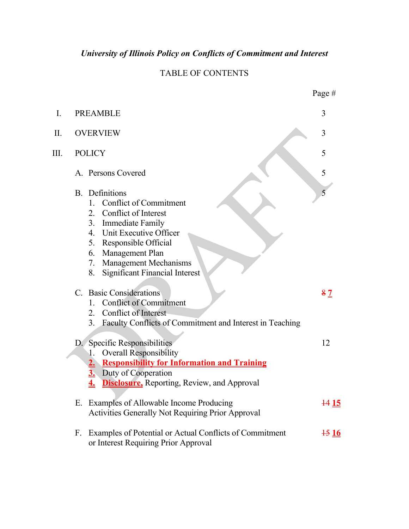# *University of Illinois Policy on Conflicts of Commitment and Interest*

# TABLE OF CONTENTS

|                |                                                                                                                                                                                                                                                                                                            | Page #                      |
|----------------|------------------------------------------------------------------------------------------------------------------------------------------------------------------------------------------------------------------------------------------------------------------------------------------------------------|-----------------------------|
| $\mathbf{I}$ . | <b>PREAMBLE</b>                                                                                                                                                                                                                                                                                            | 3                           |
| П.             | <b>OVERVIEW</b>                                                                                                                                                                                                                                                                                            | 3                           |
| Ш.             | <b>POLICY</b>                                                                                                                                                                                                                                                                                              | 5                           |
|                | A. Persons Covered                                                                                                                                                                                                                                                                                         | 5                           |
|                | <b>B.</b> Definitions<br><b>Conflict of Commitment</b><br>$\mathbf{1}$<br>Conflict of Interest<br>2.<br>3.<br><b>Immediate Family</b><br>Unit Executive Officer<br>4.<br>5.<br>Responsible Official<br>Management Plan<br>6.<br>Management Mechanisms<br>7.<br><b>Significant Financial Interest</b><br>8. | 5                           |
|                | C. Basic Considerations<br><b>Conflict of Commitment</b><br>1.<br><b>Conflict of Interest</b><br>2.<br>3. Faculty Conflicts of Commitment and Interest in Teaching                                                                                                                                         | $\frac{8}{ }$ $\frac{7}{ }$ |
|                | D. Specific Responsibilities<br><b>Overall Responsibility</b><br><b>Responsibility for Information and Training</b><br>Duty of Cooperation<br><b>Disclosure</b> , Reporting, Review, and Approval                                                                                                          | 12                          |
|                | E. Examples of Allowable Income Producing<br>Activities Generally Not Requiring Prior Approval                                                                                                                                                                                                             | <u> 44 15</u>               |
|                | Examples of Potential or Actual Conflicts of Commitment<br>F.<br>or Interest Requiring Prior Approval                                                                                                                                                                                                      | $\frac{15}{16}$             |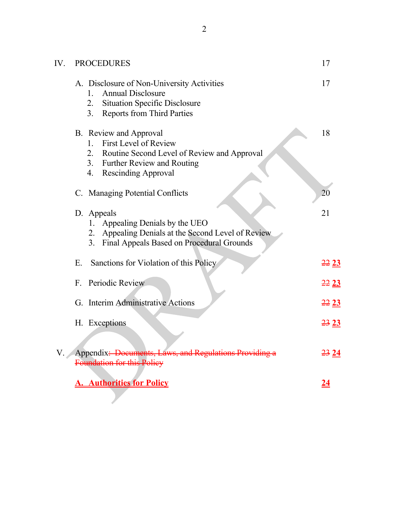| IV.                                                                                                            | <b>PROCEDURES</b>                                                                                                                                                                        | 17            |
|----------------------------------------------------------------------------------------------------------------|------------------------------------------------------------------------------------------------------------------------------------------------------------------------------------------|---------------|
|                                                                                                                | A. Disclosure of Non-University Activities<br><b>Annual Disclosure</b><br>$1_{-}$<br><b>Situation Specific Disclosure</b><br>2.<br><b>Reports from Third Parties</b><br>3.               | 17            |
|                                                                                                                | B. Review and Approval<br><b>First Level of Review</b><br>$1_{-}$<br>2. Routine Second Level of Review and Approval<br>3. Further Review and Routing<br><b>Rescinding Approval</b><br>4. | 18            |
|                                                                                                                | C. Managing Potential Conflicts                                                                                                                                                          | 20            |
|                                                                                                                | D. Appeals<br>Appealing Denials by the UEO<br>Appealing Denials at the Second Level of Review<br>2.<br>Final Appeals Based on Procedural Grounds<br>3.                                   | 21            |
|                                                                                                                | Sanctions for Violation of this Policy<br>Е.                                                                                                                                             | <u>22 23 </u> |
|                                                                                                                | Periodic Review<br>$F_{-}$                                                                                                                                                               | <u>22 23 </u> |
|                                                                                                                | G. Interim Administrative Actions                                                                                                                                                        | <u>22 23 </u> |
|                                                                                                                | H. Exceptions                                                                                                                                                                            | 2323          |
| Appendix: Documents, Laws, and Regulations Providing a<br><del>23</del> 24<br>V.<br>Foundation for this Policy |                                                                                                                                                                                          |               |
|                                                                                                                | <b>A. Authorities for Policy</b>                                                                                                                                                         |               |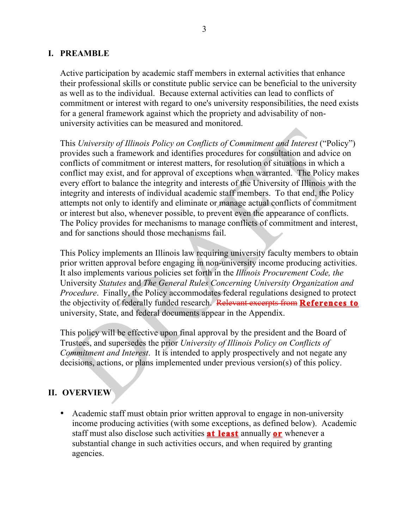### **I. PREAMBLE**

Active participation by academic staff members in external activities that enhance their professional skills or constitute public service can be beneficial to the university as well as to the individual. Because external activities can lead to conflicts of commitment or interest with regard to one's university responsibilities, the need exists for a general framework against which the propriety and advisability of nonuniversity activities can be measured and monitored.

This *University of Illinois Policy on Conflicts of Commitment and Interest* ("Policy") provides such a framework and identifies procedures for consultation and advice on conflicts of commitment or interest matters, for resolution of situations in which a conflict may exist, and for approval of exceptions when warranted. The Policy makes every effort to balance the integrity and interests of the University of Illinois with the integrity and interests of individual academic staff members. To that end, the Policy attempts not only to identify and eliminate or manage actual conflicts of commitment or interest but also, whenever possible, to prevent even the appearance of conflicts. The Policy provides for mechanisms to manage conflicts of commitment and interest, and for sanctions should those mechanisms fail.

This Policy implements an Illinois law requiring university faculty members to obtain prior written approval before engaging in non-university income producing activities. It also implements various policies set forth in the *Illinois Procurement Code, the* University *Statutes* and *The General Rules Concerning University Organization and Procedure.* Finally, the Policy accommodates federal regulations designed to protect the objectivity of federally funded research. Relevant excerpts from **References to** university, State, and federal documents appear in the Appendix.

This policy will be effective upon final approval by the president and the Board of Trustees, and supersedes the prior *University of Illinois Policy on Conflicts of Commitment and Interest*. It is intended to apply prospectively and not negate any decisions, actions, or plans implemented under previous version(s) of this policy.

# **II. OVERVIEW**

• Academic staff must obtain prior written approval to engage in non-university income producing activities (with some exceptions, as defined below). Academic staff must also disclose such activities **at least** annually **or** whenever a substantial change in such activities occurs, and when required by granting agencies.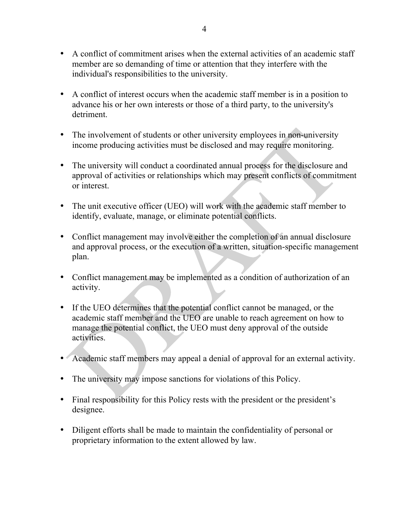- A conflict of commitment arises when the external activities of an academic staff member are so demanding of time or attention that they interfere with the individual's responsibilities to the university.
- A conflict of interest occurs when the academic staff member is in a position to advance his or her own interests or those of a third party, to the university's detriment.
- The involvement of students or other university employees in non-university income producing activities must be disclosed and may require monitoring.
- The university will conduct a coordinated annual process for the disclosure and approval of activities or relationships which may present conflicts of commitment or interest.
- The unit executive officer (UEO) will work with the academic staff member to identify, evaluate, manage, or eliminate potential conflicts.
- Conflict management may involve either the completion of an annual disclosure and approval process, or the execution of a written, situation-specific management plan.
- Conflict management may be implemented as a condition of authorization of an activity.
- If the UEO determines that the potential conflict cannot be managed, or the academic staff member and the UEO are unable to reach agreement on how to manage the potential conflict, the UEO must deny approval of the outside activities.
- Academic staff members may appeal a denial of approval for an external activity.
- The university may impose sanctions for violations of this Policy.
- Final responsibility for this Policy rests with the president or the president's designee.
- Diligent efforts shall be made to maintain the confidentiality of personal or proprietary information to the extent allowed by law.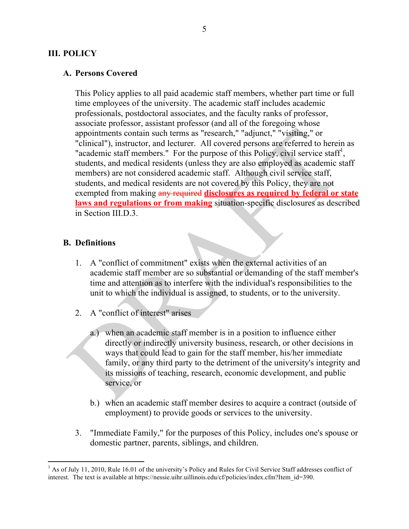### **III. POLICY**

#### **A. Persons Covered**

This Policy applies to all paid academic staff members, whether part time or full time employees of the university. The academic staff includes academic professionals, postdoctoral associates, and the faculty ranks of professor, associate professor, assistant professor (and all of the foregoing whose appointments contain such terms as "research," "adjunct," "visiting," or "clinical"), instructor, and lecturer. All covered persons are referred to herein as "academic staff members." For the purpose of this Policy, civil service staff<sup>1</sup>, students, and medical residents (unless they are also employed as academic staff members) are not considered academic staff. Although civil service staff, students, and medical residents are not covered by this Policy, they are not exempted from making any required **disclosures as required by federal or state laws and regulations or from making** situation-specific disclosures as described in Section III.D.3.

### **B. Definitions**

- 1. A "conflict of commitment" exists when the external activities of an academic staff member are so substantial or demanding of the staff member's time and attention as to interfere with the individual's responsibilities to the unit to which the individual is assigned, to students, or to the university.
- 2. A "conflict of interest" arises
	- a.) when an academic staff member is in a position to influence either directly or indirectly university business, research, or other decisions in ways that could lead to gain for the staff member, his/her immediate family, or any third party to the detriment of the university's integrity and its missions of teaching, research, economic development, and public service, or
	- b.) when an academic staff member desires to acquire a contract (outside of employment) to provide goods or services to the university.
- 3. "Immediate Family," for the purposes of this Policy, includes one's spouse or domestic partner, parents, siblings, and children.

 $<sup>1</sup>$  As of July 11, 2010, Rule 16.01 of the university's Policy and Rules for Civil Service Staff addresses conflict of</sup> interest. The text is available at https://nessie.uihr.uillinois.edu/cf/policies/index.cfm?Item\_id=390.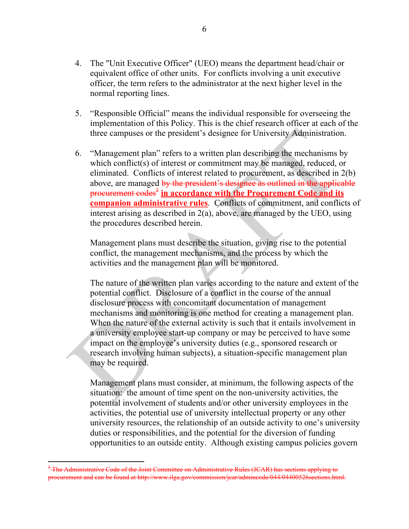- 4. The "Unit Executive Officer" (UEO) means the department head/chair or equivalent office of other units. For conflicts involving a unit executive officer, the term refers to the administrator at the next higher level in the normal reporting lines.
- 5. "Responsible Official" means the individual responsible for overseeing the implementation of this Policy. This is the chief research officer at each of the three campuses or the president's designee for University Administration.
- 6. "Management plan" refers to a written plan describing the mechanisms by which conflict(s) of interest or commitment may be managed, reduced, or eliminated. Conflicts of interest related to procurement, as described in 2(b) above, are managed by the president's designee as outlined in the applicable procurement codes<sup>2</sup> in accordance with the Procurement Code and its **companion administrative rules**. Conflicts of commitment, and conflicts of interest arising as described in 2(a), above, are managed by the UEO, using the procedures described herein.

Management plans must describe the situation, giving rise to the potential conflict, the management mechanisms, and the process by which the activities and the management plan will be monitored.

The nature of the written plan varies according to the nature and extent of the potential conflict. Disclosure of a conflict in the course of the annual disclosure process with concomitant documentation of management mechanisms and monitoring is one method for creating a management plan. When the nature of the external activity is such that it entails involvement in a university employee start-up company or may be perceived to have some impact on the employee's university duties (e.g., sponsored research or research involving human subjects), a situation-specific management plan may be required.

Management plans must consider, at minimum, the following aspects of the situation: the amount of time spent on the non-university activities, the potential involvement of students and/or other university employees in the activities, the potential use of university intellectual property or any other university resources, the relationship of an outside activity to one's university duties or responsibilities, and the potential for the diversion of funding opportunities to an outside entity. Although existing campus policies govern

<sup>&</sup>lt;sup>2</sup> The Administrative Code of the Joint Committee on Administrative Rules (JCAR) has sections applying to procurement and can be found at http://www.ilga.gov/commission/jcar/admincode/044/04400526sections.html.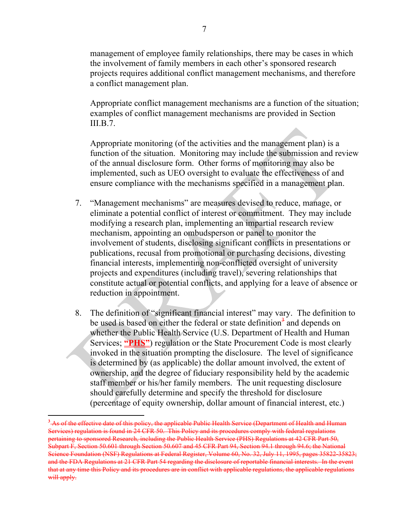management of employee family relationships, there may be cases in which the involvement of family members in each other's sponsored research projects requires additional conflict management mechanisms, and therefore a conflict management plan.

Appropriate conflict management mechanisms are a function of the situation; examples of conflict management mechanisms are provided in Section III.B.7.

Appropriate monitoring (of the activities and the management plan) is a function of the situation. Monitoring may include the submission and review of the annual disclosure form. Other forms of monitoring may also be implemented, such as UEO oversight to evaluate the effectiveness of and ensure compliance with the mechanisms specified in a management plan.

- 7. "Management mechanisms" are measures devised to reduce, manage, or eliminate a potential conflict of interest or commitment. They may include modifying a research plan, implementing an impartial research review mechanism, appointing an ombudsperson or panel to monitor the involvement of students, disclosing significant conflicts in presentations or publications, recusal from promotional or purchasing decisions, divesting financial interests, implementing non-conflicted oversight of university projects and expenditures (including travel), severing relationships that constitute actual or potential conflicts, and applying for a leave of absence or reduction in appointment.
- 8. The definition of "significant financial interest" may vary. The definition to be used is based on either the federal or state definition<sup>3</sup> and depends on whether the Public Health Service (U.S. Department of Health and Human Services; **"PHS"**) regulation or the State Procurement Code is most clearly invoked in the situation prompting the disclosure. The level of significance is determined by (as applicable) the dollar amount involved, the extent of ownership, and the degree of fiduciary responsibility held by the academic staff member or his/her family members. The unit requesting disclosure should carefully determine and specify the threshold for disclosure (percentage of equity ownership, dollar amount of financial interest, etc.)

**<sup>3</sup>** As of the effective date of this policy, the applicable Public Health Service (Department of Health and Human Services) regulation is found in 24 CFR 50. This Policy and its procedures comply with federal regulations pertaining to sponsored Research, including the Public Health Service (PHS) Regulations at 42 CFR Part 50, Subpart F, Section 50.601 through Section 50.607 and 45 CFR Part 94, Section 94.1 through 94.6; the National Science Foundation (NSF) Regulations at Federal Register, Volume 60, No. 32, July 11, 1995, pages 35822-35823; and the FDA Regulations at 21 CFR Part 54 regarding the disclosure of reportable financial interests. In the event that at any time this Policy and its procedures are in conflict with applicable regulations, the applicable regulations will apply.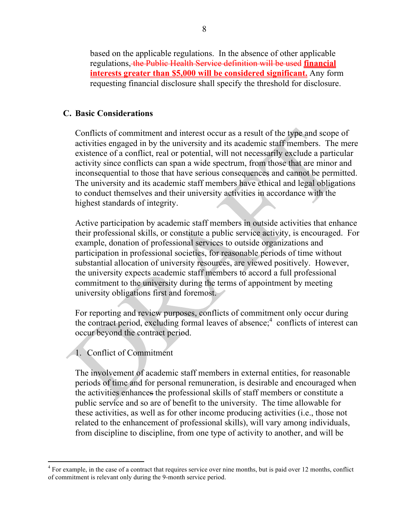based on the applicable regulations. In the absence of other applicable regulations, the Public Health Service definition will be used **financial interests greater than \$5,000 will be considered significant.** Any form requesting financial disclosure shall specify the threshold for disclosure.

### **C. Basic Considerations**

Conflicts of commitment and interest occur as a result of the type and scope of activities engaged in by the university and its academic staff members. The mere existence of a conflict, real or potential, will not necessarily exclude a particular activity since conflicts can span a wide spectrum, from those that are minor and inconsequential to those that have serious consequences and cannot be permitted. The university and its academic staff members have ethical and legal obligations to conduct themselves and their university activities in accordance with the highest standards of integrity.

Active participation by academic staff members in outside activities that enhance their professional skills, or constitute a public service activity, is encouraged. For example, donation of professional services to outside organizations and participation in professional societies, for reasonable periods of time without substantial allocation of university resources, are viewed positively. However, the university expects academic staff members to accord a full professional commitment to the university during the terms of appointment by meeting university obligations first and foremost.

For reporting and review purposes, conflicts of commitment only occur during the contract period, excluding formal leaves of absence;<sup>4</sup> conflicts of interest can occur beyond the contract period.

# 1. Conflict of Commitment

The involvement of academic staff members in external entities, for reasonable periods of time and for personal remuneration, is desirable and encouraged when the activities enhances the professional skills of staff members or constitute a public service and so are of benefit to the university. The time allowable for these activities, as well as for other income producing activities (i.e., those not related to the enhancement of professional skills), will vary among individuals, from discipline to discipline, from one type of activity to another, and will be

<sup>&</sup>lt;sup>4</sup> For example, in the case of a contract that requires service over nine months, but is paid over 12 months, conflict of commitment is relevant only during the 9-month service period.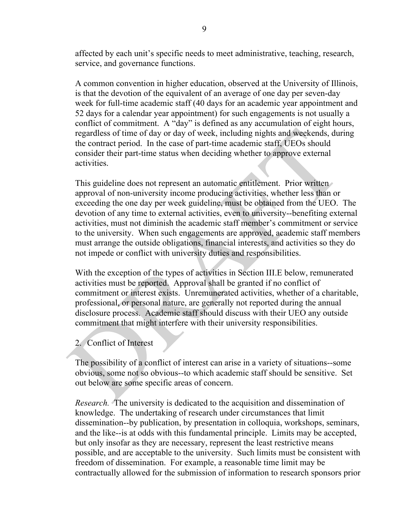affected by each unit's specific needs to meet administrative, teaching, research, service, and governance functions.

A common convention in higher education, observed at the University of Illinois, is that the devotion of the equivalent of an average of one day per seven-day week for full-time academic staff (40 days for an academic year appointment and 52 days for a calendar year appointment) for such engagements is not usually a conflict of commitment. A "day" is defined as any accumulation of eight hours, regardless of time of day or day of week, including nights and weekends, during the contract period. In the case of part-time academic staff, UEOs should consider their part-time status when deciding whether to approve external activities.

This guideline does not represent an automatic entitlement. Prior written approval of non-university income producing activities, whether less than or exceeding the one day per week guideline, must be obtained from the UEO. The devotion of any time to external activities, even to university--benefiting external activities, must not diminish the academic staff member's commitment or service to the university. When such engagements are approved, academic staff members must arrange the outside obligations, financial interests, and activities so they do not impede or conflict with university duties and responsibilities.

With the exception of the types of activities in Section III.E below, remunerated activities must be reported. Approval shall be granted if no conflict of commitment or interest exists. Unremunerated activities, whether of a charitable, professional, or personal nature, are generally not reported during the annual disclosure process. Academic staff should discuss with their UEO any outside commitment that might interfere with their university responsibilities.

2. Conflict of Interest

The possibility of a conflict of interest can arise in a variety of situations--some obvious, some not so obvious--to which academic staff should be sensitive. Set out below are some specific areas of concern.

*Research.* The university is dedicated to the acquisition and dissemination of knowledge. The undertaking of research under circumstances that limit dissemination--by publication, by presentation in colloquia, workshops, seminars, and the like--is at odds with this fundamental principle. Limits may be accepted, but only insofar as they are necessary, represent the least restrictive means possible, and are acceptable to the university. Such limits must be consistent with freedom of dissemination. For example, a reasonable time limit may be contractually allowed for the submission of information to research sponsors prior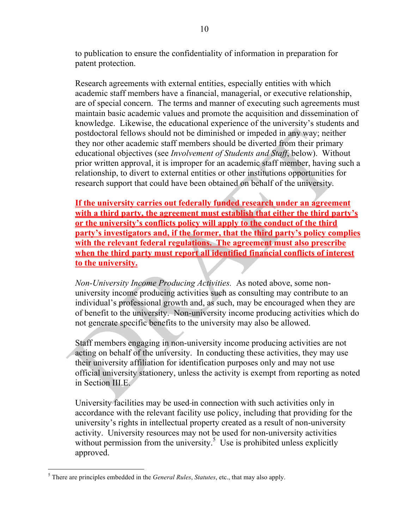to publication to ensure the confidentiality of information in preparation for patent protection.

Research agreements with external entities, especially entities with which academic staff members have a financial, managerial, or executive relationship, are of special concern. The terms and manner of executing such agreements must maintain basic academic values and promote the acquisition and dissemination of knowledge. Likewise, the educational experience of the university's students and postdoctoral fellows should not be diminished or impeded in any way; neither they nor other academic staff members should be diverted from their primary educational objectives (see *Involvement of Students and Staff*, below). Without prior written approval, it is improper for an academic staff member, having such a relationship, to divert to external entities or other institutions opportunities for research support that could have been obtained on behalf of the university.

**If the university carries out federally funded research under an agreement with a third party, the agreement must establish that either the third party's or the university's conflicts policy will apply to the conduct of the third party's investigators and, if the former, that the third party's policy complies with the relevant federal regulations. The agreement must also prescribe when the third party must report all identified financial conflicts of interest to the university.**

*Non-University Income Producing Activities.* As noted above, some nonuniversity income producing activities such as consulting may contribute to an individual's professional growth and, as such, may be encouraged when they are of benefit to the university. Non-university income producing activities which do not generate specific benefits to the university may also be allowed.

Staff members engaging in non-university income producing activities are not acting on behalf of the university. In conducting these activities, they may use their university affiliation for identification purposes only and may not use official university stationery, unless the activity is exempt from reporting as noted in Section III.E.

University facilities may be used in connection with such activities only in accordance with the relevant facility use policy, including that providing for the university's rights in intellectual property created as a result of non-university activity. University resources may not be used for non-university activities without permission from the university.<sup>5</sup> Use is prohibited unless explicitly approved.

 <sup>5</sup> There are principles embedded in the *General Rules*, *Statutes*, etc., that may also apply.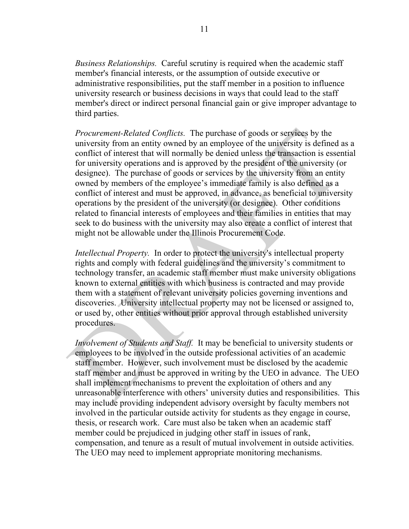*Business Relationships.* Careful scrutiny is required when the academic staff member's financial interests, or the assumption of outside executive or administrative responsibilities, put the staff member in a position to influence university research or business decisions in ways that could lead to the staff member's direct or indirect personal financial gain or give improper advantage to third parties.

*Procurement-Related Conflicts.* The purchase of goods or services by the university from an entity owned by an employee of the university is defined as a conflict of interest that will normally be denied unless the transaction is essential for university operations and is approved by the president of the university (or designee). The purchase of goods or services by the university from an entity owned by members of the employee's immediate family is also defined as a conflict of interest and must be approved, in advance, as beneficial to university operations by the president of the university (or designee). Other conditions related to financial interests of employees and their families in entities that may seek to do business with the university may also create a conflict of interest that might not be allowable under the Illinois Procurement Code.

*Intellectual Property.* In order to protect the university's intellectual property rights and comply with federal guidelines and the university's commitment to technology transfer, an academic staff member must make university obligations known to external entities with which business is contracted and may provide them with a statement of relevant university policies governing inventions and discoveries. University intellectual property may not be licensed or assigned to, or used by, other entities without prior approval through established university procedures.

*Involvement of Students and Staff.* It may be beneficial to university students or employees to be involved in the outside professional activities of an academic staff member. However, such involvement must be disclosed by the academic staff member and must be approved in writing by the UEO in advance. The UEO shall implement mechanisms to prevent the exploitation of others and any unreasonable interference with others' university duties and responsibilities. This may include providing independent advisory oversight by faculty members not involved in the particular outside activity for students as they engage in course, thesis, or research work. Care must also be taken when an academic staff member could be prejudiced in judging other staff in issues of rank, compensation, and tenure as a result of mutual involvement in outside activities. The UEO may need to implement appropriate monitoring mechanisms.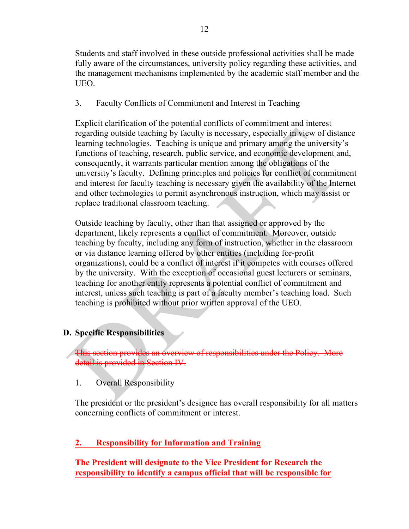Students and staff involved in these outside professional activities shall be made fully aware of the circumstances, university policy regarding these activities, and the management mechanisms implemented by the academic staff member and the UEO.

3. Faculty Conflicts of Commitment and Interest in Teaching

Explicit clarification of the potential conflicts of commitment and interest regarding outside teaching by faculty is necessary, especially in view of distance learning technologies. Teaching is unique and primary among the university's functions of teaching, research, public service, and economic development and, consequently, it warrants particular mention among the obligations of the university's faculty. Defining principles and policies for conflict of commitment and interest for faculty teaching is necessary given the availability of the Internet and other technologies to permit asynchronous instruction, which may assist or replace traditional classroom teaching.

Outside teaching by faculty, other than that assigned or approved by the department, likely represents a conflict of commitment. Moreover, outside teaching by faculty, including any form of instruction, whether in the classroom or via distance learning offered by other entities (including for-profit organizations), could be a conflict of interest if it competes with courses offered by the university. With the exception of occasional guest lecturers or seminars, teaching for another entity represents a potential conflict of commitment and interest, unless such teaching is part of a faculty member's teaching load. Such teaching is prohibited without prior written approval of the UEO.

# **D. Specific Responsibilities**

This section provides an overview of responsibilities under the Policy. More detail is provided in Section IV.

1. Overall Responsibility

The president or the president's designee has overall responsibility for all matters concerning conflicts of commitment or interest.

# **2. Responsibility for Information and Training**

**The President will designate to the Vice President for Research the responsibility to identify a campus official that will be responsible for**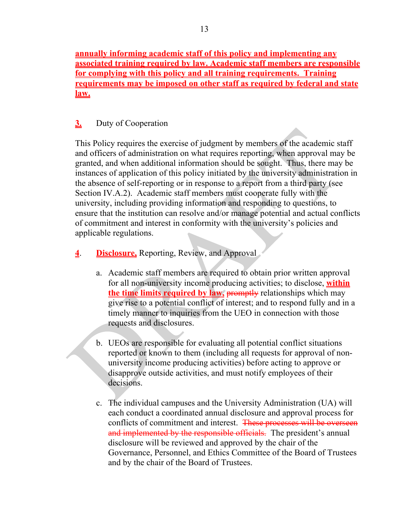**annually informing academic staff of this policy and implementing any associated training required by law. Academic staff members are responsible for complying with this policy and all training requirements. Training requirements may be imposed on other staff as required by federal and state law.**

# **3.** Duty of Cooperation

This Policy requires the exercise of judgment by members of the academic staff and officers of administration on what requires reporting, when approval may be granted, and when additional information should be sought. Thus, there may be instances of application of this policy initiated by the university administration in the absence of self-reporting or in response to a report from a third party (see Section IV.A.2). Academic staff members must cooperate fully with the university, including providing information and responding to questions, to ensure that the institution can resolve and/or manage potential and actual conflicts of commitment and interest in conformity with the university's policies and applicable regulations.

- **4**. **Disclosure,** Reporting, Review, and Approval
	- a. Academic staff members are required to obtain prior written approval for all non-university income producing activities; to disclose, **within the time limits required by law, promptly relationships which may** give rise to a potential conflict of interest; and to respond fully and in a timely manner to inquiries from the UEO in connection with those requests and disclosures.
	- b. UEOs are responsible for evaluating all potential conflict situations reported or known to them (including all requests for approval of nonuniversity income producing activities) before acting to approve or disapprove outside activities, and must notify employees of their decisions.
	- c. The individual campuses and the University Administration (UA) will each conduct a coordinated annual disclosure and approval process for conflicts of commitment and interest. These processes will be overseen and implemented by the responsible officials. The president's annual disclosure will be reviewed and approved by the chair of the Governance, Personnel, and Ethics Committee of the Board of Trustees and by the chair of the Board of Trustees.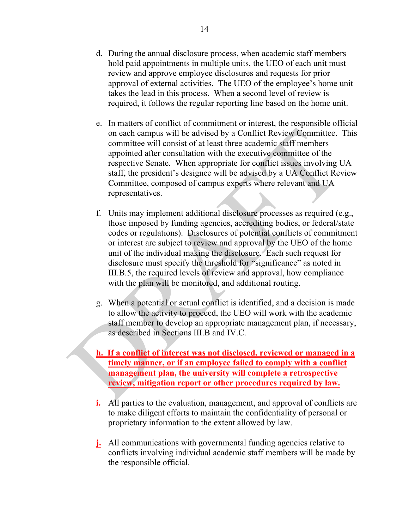- d. During the annual disclosure process, when academic staff members hold paid appointments in multiple units, the UEO of each unit must review and approve employee disclosures and requests for prior approval of external activities. The UEO of the employee's home unit takes the lead in this process. When a second level of review is required, it follows the regular reporting line based on the home unit.
- e. In matters of conflict of commitment or interest, the responsible official on each campus will be advised by a Conflict Review Committee. This committee will consist of at least three academic staff members appointed after consultation with the executive committee of the respective Senate. When appropriate for conflict issues involving UA staff, the president's designee will be advised by a UA Conflict Review Committee, composed of campus experts where relevant and UA representatives.
- f. Units may implement additional disclosure processes as required (e.g., those imposed by funding agencies, accrediting bodies, or federal/state codes or regulations). Disclosures of potential conflicts of commitment or interest are subject to review and approval by the UEO of the home unit of the individual making the disclosure. Each such request for disclosure must specify the threshold for "significance" as noted in III.B.5, the required levels of review and approval, how compliance with the plan will be monitored, and additional routing.
- g. When a potential or actual conflict is identified, and a decision is made to allow the activity to proceed, the UEO will work with the academic staff member to develop an appropriate management plan, if necessary, as described in Sections III.B and IV.C.
- **h. If a conflict of interest was not disclosed, reviewed or managed in a timely manner, or if an employee failed to comply with a conflict management plan, the university will complete a retrospective review, mitigation report or other procedures required by law.**
- **i.** All parties to the evaluation, management, and approval of conflicts are to make diligent efforts to maintain the confidentiality of personal or proprietary information to the extent allowed by law.
- **j.** All communications with governmental funding agencies relative to conflicts involving individual academic staff members will be made by the responsible official.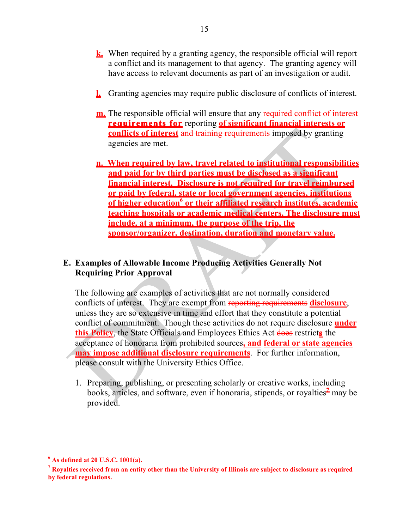- **k.** When required by a granting agency, the responsible official will report a conflict and its management to that agency. The granting agency will have access to relevant documents as part of an investigation or audit.
- **l.** Granting agencies may require public disclosure of conflicts of interest.
- **m.** The responsible official will ensure that any required conflict of interest **requirements for** reporting **of significant financial interests or conflicts of interest** and training requirements imposed by granting agencies are met.
- **n. When required by law, travel related to institutional responsibilities and paid for by third parties must be disclosed as a significant financial interest. Disclosure is not required for travel reimbursed or paid by federal, state or local government agencies, institutions <u>of higher education<sup>6</sup> or their affiliated research institutes, academic</u> teaching hospitals or academic medical centers. The disclosure must include, at a minimum, the purpose of the trip, the sponsor/organizer, destination, duration and monetary value.**

# **E. Examples of Allowable Income Producing Activities Generally Not Requiring Prior Approval**

The following are examples of activities that are not normally considered conflicts of interest. They are exempt from reporting requirements **disclosure**, unless they are so extensive in time and effort that they constitute a potential conflict of commitment. Though these activities do not require disclosure **under this Policy**, the State Officials and Employees Ethics Act does restrict**s** the acceptance of honoraria from prohibited sources**, and federal or state agencies may impose additional disclosure requirements**. For further information, please consult with the University Ethics Office.

1. Preparing, publishing, or presenting scholarly or creative works, including books, articles, and software, even if honoraria, stipends, or royalties<sup>1</sup> may be provided.

**<sup>6</sup> As defined at 20 U.S.C. 1001(a).**

**<sup>7</sup> Royalties received from an entity other than the University of Illinois are subject to disclosure as required by federal regulations.**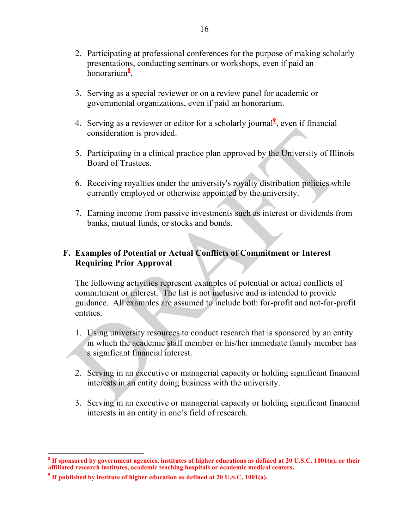- 2. Participating at professional conferences for the purpose of making scholarly presentations, conducting seminars or workshops, even if paid an honorarium**<sup>8</sup>** .
- 3. Serving as a special reviewer or on a review panel for academic or governmental organizations, even if paid an honorarium.
- 4. Serving as a reviewer or editor for a scholarly journal $\frac{1}{2}$ , even if financial consideration is provided.
- 5. Participating in a clinical practice plan approved by the University of Illinois Board of Trustees.
- 6. Receiving royalties under the university's royalty distribution policies while currently employed or otherwise appointed by the university.
- 7. Earning income from passive investments such as interest or dividends from banks, mutual funds, or stocks and bonds.

# **F. Examples of Potential or Actual Conflicts of Commitment or Interest Requiring Prior Approval**

The following activities represent examples of potential or actual conflicts of commitment or interest. The list is not inclusive and is intended to provide guidance. All examples are assumed to include both for-profit and not-for-profit entities.

- 1. Using university resources to conduct research that is sponsored by an entity in which the academic staff member or his/her immediate family member has a significant financial interest.
- 2. Serving in an executive or managerial capacity or holding significant financial interests in an entity doing business with the university.
- 3. Serving in an executive or managerial capacity or holding significant financial interests in an entity in one's field of research.

**<sup>8</sup> If sponsored by government agencies, institutes of higher educations as defined at 20 U.S.C. 1001(a), or their affiliated research institutes, academic teaching hospitals or academic medical centers.** 

**<sup>9</sup> If published by institute of higher education as defined at 20 U.S.C. 1001(a),**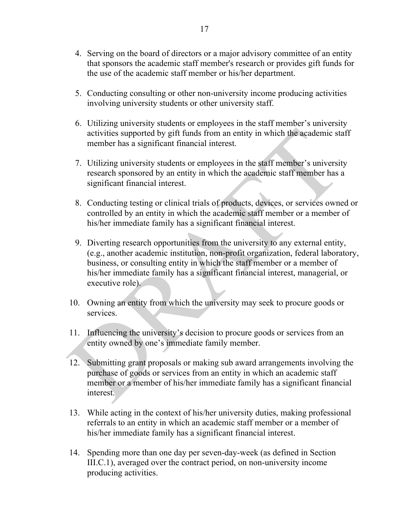- 4. Serving on the board of directors or a major advisory committee of an entity that sponsors the academic staff member's research or provides gift funds for the use of the academic staff member or his/her department.
- 5. Conducting consulting or other non-university income producing activities involving university students or other university staff.
- 6. Utilizing university students or employees in the staff member's university activities supported by gift funds from an entity in which the academic staff member has a significant financial interest.
- 7. Utilizing university students or employees in the staff member's university research sponsored by an entity in which the academic staff member has a significant financial interest.
- 8. Conducting testing or clinical trials of products, devices, or services owned or controlled by an entity in which the academic staff member or a member of his/her immediate family has a significant financial interest.
- 9. Diverting research opportunities from the university to any external entity, (e.g., another academic institution, non-profit organization, federal laboratory, business, or consulting entity in which the staff member or a member of his/her immediate family has a significant financial interest, managerial, or executive role).
- 10. Owning an entity from which the university may seek to procure goods or services.
- 11. Influencing the university's decision to procure goods or services from an entity owned by one's immediate family member.
- 12. Submitting grant proposals or making sub award arrangements involving the purchase of goods or services from an entity in which an academic staff member or a member of his/her immediate family has a significant financial interest.
- 13. While acting in the context of his/her university duties, making professional referrals to an entity in which an academic staff member or a member of his/her immediate family has a significant financial interest.
- 14. Spending more than one day per seven-day-week (as defined in Section III.C.1), averaged over the contract period, on non-university income producing activities.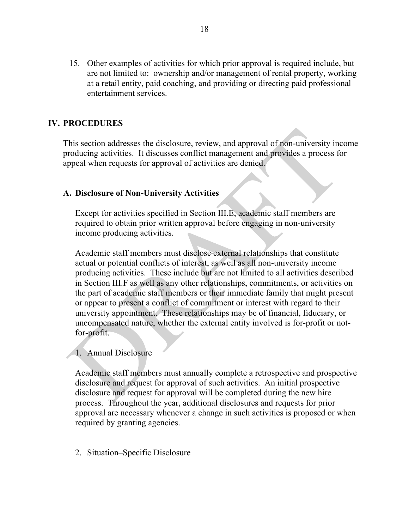15. Other examples of activities for which prior approval is required include, but are not limited to: ownership and/or management of rental property, working at a retail entity, paid coaching, and providing or directing paid professional entertainment services.

## **IV. PROCEDURES**

This section addresses the disclosure, review, and approval of non-university income producing activities. It discusses conflict management and provides a process for appeal when requests for approval of activities are denied.

#### **A. Disclosure of Non-University Activities**

Except for activities specified in Section III.E, academic staff members are required to obtain prior written approval before engaging in non-university income producing activities.

Academic staff members must disclose external relationships that constitute actual or potential conflicts of interest, as well as all non-university income producing activities. These include but are not limited to all activities described in Section III.F as well as any other relationships, commitments, or activities on the part of academic staff members or their immediate family that might present or appear to present a conflict of commitment or interest with regard to their university appointment. These relationships may be of financial, fiduciary, or uncompensated nature, whether the external entity involved is for-profit or notfor-profit.

#### 1. Annual Disclosure

Academic staff members must annually complete a retrospective and prospective disclosure and request for approval of such activities. An initial prospective disclosure and request for approval will be completed during the new hire process. Throughout the year, additional disclosures and requests for prior approval are necessary whenever a change in such activities is proposed or when required by granting agencies.

2. Situation–Specific Disclosure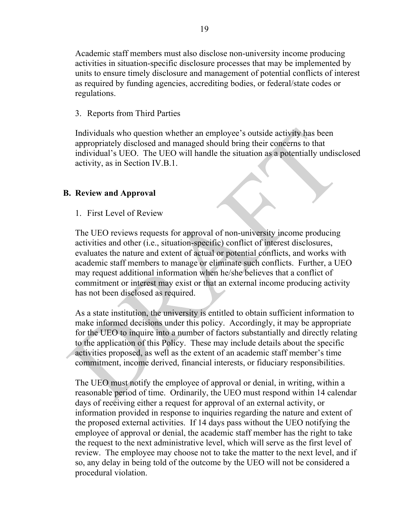Academic staff members must also disclose non-university income producing activities in situation-specific disclosure processes that may be implemented by units to ensure timely disclosure and management of potential conflicts of interest as required by funding agencies, accrediting bodies, or federal/state codes or regulations.

# 3. Reports from Third Parties

Individuals who question whether an employee's outside activity has been appropriately disclosed and managed should bring their concerns to that individual's UEO. The UEO will handle the situation as a potentially undisclosed activity, as in Section IV.B.1.

# **B. Review and Approval**

1. First Level of Review

The UEO reviews requests for approval of non-university income producing activities and other (i.e., situation-specific) conflict of interest disclosures, evaluates the nature and extent of actual or potential conflicts, and works with academic staff members to manage or eliminate such conflicts. Further, a UEO may request additional information when he/she believes that a conflict of commitment or interest may exist or that an external income producing activity has not been disclosed as required.

As a state institution, the university is entitled to obtain sufficient information to make informed decisions under this policy. Accordingly, it may be appropriate for the UEO to inquire into a number of factors substantially and directly relating to the application of this Policy. These may include details about the specific activities proposed, as well as the extent of an academic staff member's time commitment, income derived, financial interests, or fiduciary responsibilities.

The UEO must notify the employee of approval or denial, in writing, within a reasonable period of time. Ordinarily, the UEO must respond within 14 calendar days of receiving either a request for approval of an external activity, or information provided in response to inquiries regarding the nature and extent of the proposed external activities. If 14 days pass without the UEO notifying the employee of approval or denial, the academic staff member has the right to take the request to the next administrative level, which will serve as the first level of review. The employee may choose not to take the matter to the next level, and if so, any delay in being told of the outcome by the UEO will not be considered a procedural violation.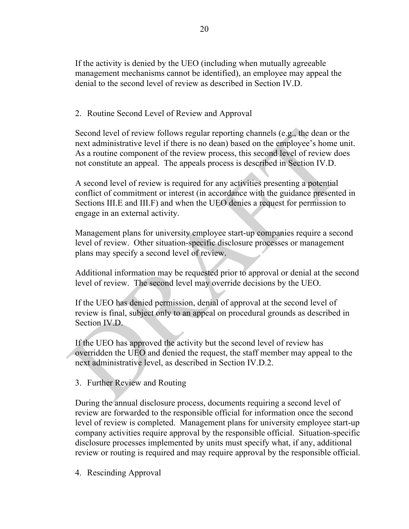If the activity is denied by the UEO (including when mutually agreeable management mechanisms cannot be identified), an employee may appeal the denial to the second level of review as described in Section IV.D.

2. Routine Second Level of Review and Approval

Second level of review follows regular reporting channels (e.g., the dean or the next administrative level if there is no dean) based on the employee's home unit. As a routine component of the review process, this second level of review does not constitute an appeal. The appeals process is described in Section IV.D.

A second level of review is required for any activities presenting a potential conflict of commitment or interest (in accordance with the guidance presented in Sections III.E and III.F) and when the UEO denies a request for permission to engage in an external activity.

Management plans for university employee start-up companies require a second level of review. Other situation-specific disclosure processes or management plans may specify a second level of review.

Additional information may be requested prior to approval or denial at the second level of review. The second level may override decisions by the UEO.

If the UEO has denied permission, denial of approval at the second level of review is final, subject only to an appeal on procedural grounds as described in Section IV<sub>D</sub>

If the UEO has approved the activity but the second level of review has overridden the UEO and denied the request, the staff member may appeal to the next administrative level, as described in Section IV.D.2.

3. Further Review and Routing

During the annual disclosure process, documents requiring a second level of review are forwarded to the responsible official for information once the second level of review is completed. Management plans for university employee start-up company activities require approval by the responsible official. Situation-specific disclosure processes implemented by units must specify what, if any, additional review or routing is required and may require approval by the responsible official.

4. Rescinding Approval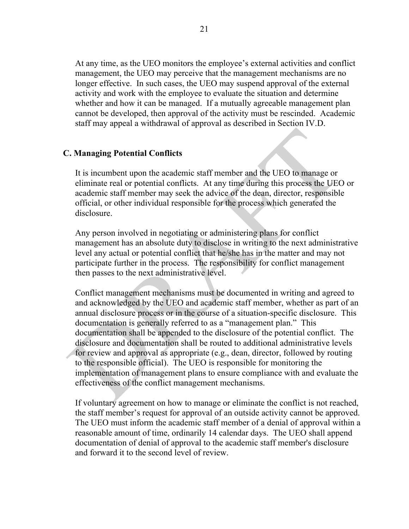At any time, as the UEO monitors the employee's external activities and conflict management, the UEO may perceive that the management mechanisms are no longer effective. In such cases, the UEO may suspend approval of the external activity and work with the employee to evaluate the situation and determine whether and how it can be managed. If a mutually agreeable management plan cannot be developed, then approval of the activity must be rescinded. Academic staff may appeal a withdrawal of approval as described in Section IV.D.

### **C. Managing Potential Conflicts**

It is incumbent upon the academic staff member and the UEO to manage or eliminate real or potential conflicts. At any time during this process the UEO or academic staff member may seek the advice of the dean, director, responsible official, or other individual responsible for the process which generated the disclosure.

Any person involved in negotiating or administering plans for conflict management has an absolute duty to disclose in writing to the next administrative level any actual or potential conflict that he/she has in the matter and may not participate further in the process. The responsibility for conflict management then passes to the next administrative level.

Conflict management mechanisms must be documented in writing and agreed to and acknowledged by the UEO and academic staff member, whether as part of an annual disclosure process or in the course of a situation-specific disclosure. This documentation is generally referred to as a "management plan." This documentation shall be appended to the disclosure of the potential conflict. The disclosure and documentation shall be routed to additional administrative levels for review and approval as appropriate (e.g., dean, director, followed by routing to the responsible official). The UEO is responsible for monitoring the implementation of management plans to ensure compliance with and evaluate the effectiveness of the conflict management mechanisms.

If voluntary agreement on how to manage or eliminate the conflict is not reached, the staff member's request for approval of an outside activity cannot be approved. The UEO must inform the academic staff member of a denial of approval within a reasonable amount of time, ordinarily 14 calendar days. The UEO shall append documentation of denial of approval to the academic staff member's disclosure and forward it to the second level of review.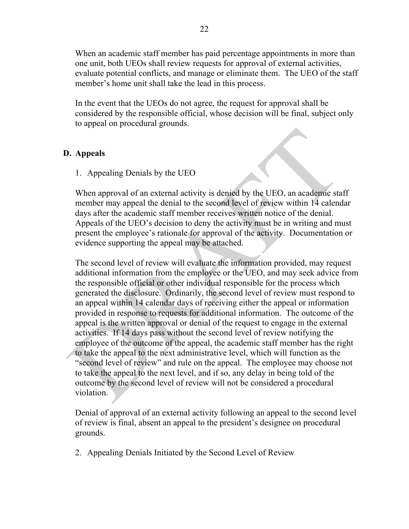When an academic staff member has paid percentage appointments in more than one unit, both UEOs shall review requests for approval of external activities, evaluate potential conflicts, and manage or eliminate them. The UEO of the staff member's home unit shall take the lead in this process.

In the event that the UEOs do not agree, the request for approval shall be considered by the responsible official, whose decision will be final, subject only to appeal on procedural grounds.

# **D. Appeals**

1. Appealing Denials by the UEO

When approval of an external activity is denied by the UEO, an academic staff member may appeal the denial to the second level of review within 14 calendar days after the academic staff member receives written notice of the denial. Appeals of the UEO's decision to deny the activity must be in writing and must present the employee's rationale for approval of the activity. Documentation or evidence supporting the appeal may be attached.

The second level of review will evaluate the information provided, may request additional information from the employee or the UEO, and may seek advice from the responsible official or other individual responsible for the process which generated the disclosure. Ordinarily, the second level of review must respond to an appeal within 14 calendar days of receiving either the appeal or information provided in response to requests for additional information. The outcome of the appeal is the written approval or denial of the request to engage in the external activities. If 14 days pass without the second level of review notifying the employee of the outcome of the appeal, the academic staff member has the right to take the appeal to the next administrative level, which will function as the "second level of review" and rule on the appeal. The employee may choose not to take the appeal to the next level, and if so, any delay in being told of the outcome by the second level of review will not be considered a procedural violation.

Denial of approval of an external activity following an appeal to the second level of review is final, absent an appeal to the president's designee on procedural grounds.

2. Appealing Denials Initiated by the Second Level of Review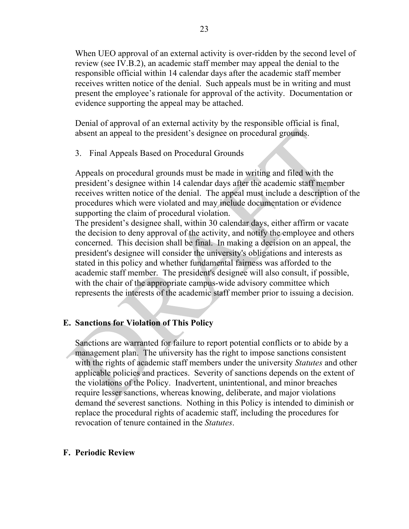When UEO approval of an external activity is over-ridden by the second level of review (see IV.B.2), an academic staff member may appeal the denial to the responsible official within 14 calendar days after the academic staff member receives written notice of the denial. Such appeals must be in writing and must present the employee's rationale for approval of the activity. Documentation or evidence supporting the appeal may be attached.

Denial of approval of an external activity by the responsible official is final, absent an appeal to the president's designee on procedural grounds.

3. Final Appeals Based on Procedural Grounds

Appeals on procedural grounds must be made in writing and filed with the president's designee within 14 calendar days after the academic staff member receives written notice of the denial. The appeal must include a description of the procedures which were violated and may include documentation or evidence supporting the claim of procedural violation.

The president's designee shall, within 30 calendar days, either affirm or vacate the decision to deny approval of the activity, and notify the employee and others concerned. This decision shall be final. In making a decision on an appeal, the president's designee will consider the university's obligations and interests as stated in this policy and whether fundamental fairness was afforded to the academic staff member. The president's designee will also consult, if possible, with the chair of the appropriate campus-wide advisory committee which represents the interests of the academic staff member prior to issuing a decision.

# **E. Sanctions for Violation of This Policy**

Sanctions are warranted for failure to report potential conflicts or to abide by a management plan. The university has the right to impose sanctions consistent with the rights of academic staff members under the university *Statutes* and other applicable policies and practices. Severity of sanctions depends on the extent of the violations of the Policy. Inadvertent, unintentional, and minor breaches require lesser sanctions, whereas knowing, deliberate, and major violations demand the severest sanctions. Nothing in this Policy is intended to diminish or replace the procedural rights of academic staff, including the procedures for revocation of tenure contained in the *Statutes*.

### **F. Periodic Review**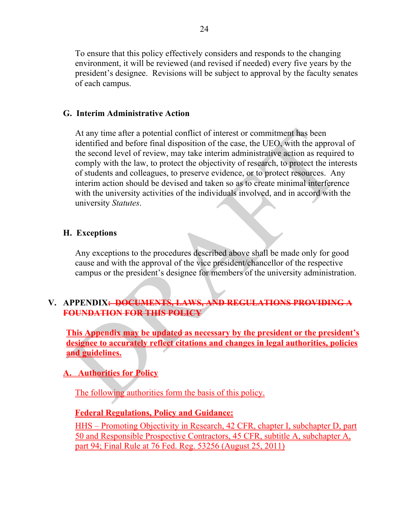To ensure that this policy effectively considers and responds to the changing environment, it will be reviewed (and revised if needed) every five years by the president's designee. Revisions will be subject to approval by the faculty senates of each campus.

# **G. Interim Administrative Action**

At any time after a potential conflict of interest or commitment has been identified and before final disposition of the case, the UEO, with the approval of the second level of review, may take interim administrative action as required to comply with the law, to protect the objectivity of research, to protect the interests of students and colleagues, to preserve evidence, or to protect resources. Any interim action should be devised and taken so as to create minimal interference with the university activities of the individuals involved, and in accord with the university *Statutes*.

# **H. Exceptions**

Any exceptions to the procedures described above shall be made only for good cause and with the approval of the vice president/chancellor of the respective campus or the president's designee for members of the university administration.

# **V. APPENDIX: DOCUMENTS, LAWS, AND REGULATIONS PROVIDING A FOUNDATION FOR THIS POLICY**

**This Appendix may be updated as necessary by the president or the president's designee to accurately reflect citations and changes in legal authorities, policies and guidelines.**

**A. Authorities for Policy**

The following authorities form the basis of this policy.

# **Federal Regulations, Policy and Guidance:**

HHS – Promoting Objectivity in Research, 42 CFR, chapter I, subchapter D, part 50 and Responsible Prospective Contractors, 45 CFR, subtitle A, subchapter A, part 94; Final Rule at 76 Fed. Reg. 53256 (August 25, 2011)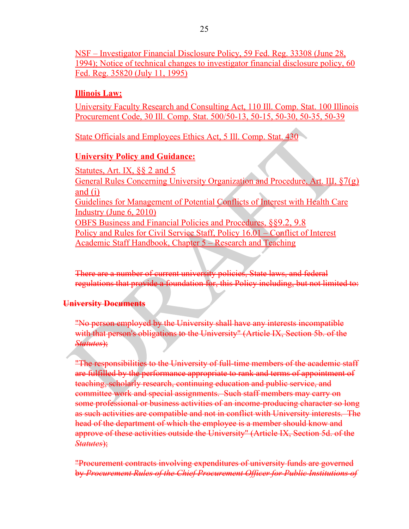NSF – Investigator Financial Disclosure Policy, 59 Fed. Reg. 33308 (June 28, 1994); Notice of technical changes to investigator financial disclosure policy, 60 Fed. Reg. 35820 (July 11, 1995)

# **Illinois Law:**

University Faculty Research and Consulting Act, 110 Ill. Comp. Stat. 100 Illinois Procurement Code, 30 Ill. Comp. Stat. 500/50-13, 50-15, 50-30, 50-35, 50-39

State Officials and Employees Ethics Act, 5 Ill. Comp. Stat. 430

# **University Policy and Guidance:**

Statutes, Art. IX, §§ 2 and 5 General Rules Concerning University Organization and Procedure, Art. III, §7(g) and  $(i)$ Guidelines for Management of Potential Conflicts of Interest with Health Care Industry (June 6, 2010) OBFS Business and Financial Policies and Procedures, §§9.2, 9.8 Policy and Rules for Civil Service Staff, Policy 16.01 – Conflict of Interest Academic Staff Handbook, Chapter 5 – Research and Teaching

There are a number of current university policies, State laws, and federal regulations that provide a foundation for, this Policy including, but not limited to:

# **University Documents**

"No person employed by the University shall have any interests incompatible with that person's obligations to the University" (Article IX, Section 5b. of the *Statutes*);

"The responsibilities to the University of full-time members of the academic staff are fulfilled by the performance appropriate to rank and terms of appointment of teaching, scholarly research, continuing education and public service, and committee work and special assignments. Such staff members may carry on some professional or business activities of an income-producing character so long as such activities are compatible and not in conflict with University interests. The head of the department of which the employee is a member should know and approve of these activities outside the University" (Article IX, Section 5d. of the *Statutes*);

"Procurement contracts involving expenditures of university funds are governed by *Procurement Rules of the Chief Procurement Officer for Public Institutions of*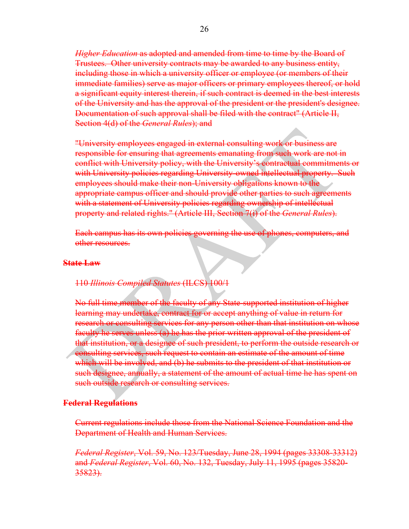*Higher Education* as adopted and amended from time to time by the Board of Trustees. Other university contracts may be awarded to any business entity, including those in which a university officer or employee (or members of their immediate families) serve as major officers or primary employees thereof, or hold a significant equity interest therein, if such contract is deemed in the best interests of the University and has the approval of the president or the president's designee. Documentation of such approval shall be filed with the contract" (Article II, Section 4(d) of the *General Rules*); and

"University employees engaged in external consulting work or business are responsible for ensuring that agreements emanating from such work are not in conflict with University policy, with the University's contractual commitments or with University policies regarding University-owned intellectual property. Such employees should make their non-University obligations known to the appropriate campus officer and should provide other parties to such agreements with a statement of University policies regarding ownership of intellectual property and related rights." (Article III, Section 7(i) of the *General Rules*).

Each campus has its own policies governing the use of phones, computers, and other resources.

### **State Law**

#### 110 *Illinois Compiled Statutes* (ILCS) 100/1

No full time member of the faculty of any State-supported institution of higher learning may undertake, contract for or accept anything of value in return for research or consulting services for any person other than that institution on whose faculty he serves unless (a) he has the prior written approval of the president of that institution, or a designee of such president, to perform the outside research or consulting services, such request to contain an estimate of the amount of time which will be involved, and (b) he submits to the president of that institution or such designee, annually, a statement of the amount of actual time he has spent on such outside research or consulting services.

#### **Federal Regulations**

Current regulations include those from the National Science Foundation and the Department of Health and Human Services.

*Federal Register*, Vol. 59, No. 123/Tuesday, June 28, 1994 (pages 33308-33312) and *Federal Register*, Vol. 60, No. 132, Tuesday, July 11, 1995 (pages 35820- 35823).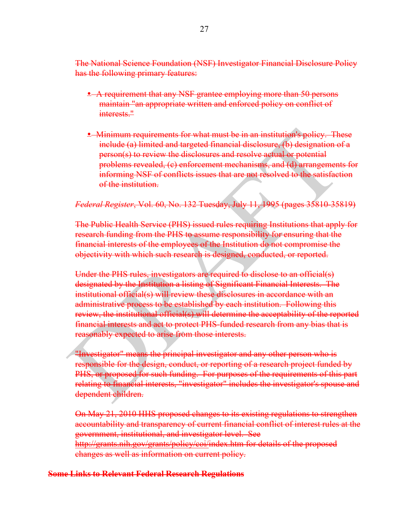The National Science Foundation (NSF) Investigator Financial Disclosure Policy has the following primary features:

- A requirement that any NSF grantee employing more than 50 persons maintain "an appropriate written and enforced policy on conflict of interests."
- Minimum requirements for what must be in an institution's policy. These include (a) limited and targeted financial disclosure, (b) designation of a person(s) to review the disclosures and resolve actual or potential problems revealed, (c) enforcement mechanisms, and (d) arrangements for informing NSF of conflicts issues that are not resolved to the satisfaction of the institution.

*Federal Register*, Vol. 60, No. 132 Tuesday, July 11, 1995 (pages 35810-35819)

The Public Health Service (PHS) issued rules requiring Institutions that apply for research funding from the PHS to assume responsibility for ensuring that the financial interests of the employees of the Institution do not compromise the objectivity with which such research is designed, conducted, or reported.

Under the PHS rules, investigators are required to disclose to an official(s) designated by the Institution a listing of Significant Financial Interests. The institutional official(s) will review these disclosures in accordance with an administrative process to be established by each institution. Following this review, the institutional official(s) will determine the acceptability of the reported financial interests and act to protect PHS-funded research from any bias that is reasonably expected to arise from those interests.

"Investigator" means the principal investigator and any other person who is responsible for the design, conduct, or reporting of a research project funded by PHS, or proposed for such funding. For purposes of the requirements of this part relating to financial interests, "investigator" includes the investigator's spouse and dependent children.

On May 21, 2010 HHS proposed changes to its existing regulations to strengthen accountability and transparency of current financial conflict of interest rules at the government, institutional, and investigator level. See http://grants.nih.gov/grants/policy/coi/index.htm for details of the proposed changes as well as information on current policy.

#### **Some Links to Relevant Federal Research Regulations**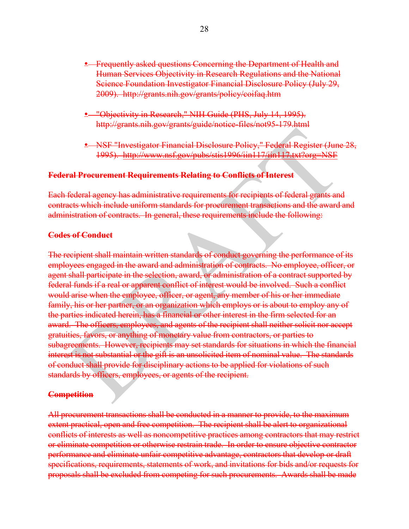- **•** Frequently asked questions Concerning the Department of Health and Human Services Objectivity in Research Regulations and the National Science Foundation Investigator Financial Disclosure Policy (July 29, 2009). http://grants.nih.gov/grants/policy/coifaq.htm
- "Objectivity in Research," NIH Guide (PHS, July 14, 1995). http://grants.nih.gov/grants/guide/notice-files/not95-179.html
- NSF "Investigator Financial Disclosure Policy," Federal Register (June 28, 1995). http://www.nsf.gov/pubs/stis1996/iin117/iin117.txt?org=NSF

### **Federal Procurement Requirements Relating to Conflicts of Interest**

Each federal agency has administrative requirements for recipients of federal grants and contracts which include uniform standards for procurement transactions and the award and administration of contracts. In general, these requirements include the following:

#### **Codes of Conduct**

The recipient shall maintain written standards of conduct governing the performance of its employees engaged in the award and administration of contracts. No employee, officer, or agent shall participate in the selection, award, or administration of a contract supported by federal funds if a real or apparent conflict of interest would be involved. Such a conflict would arise when the employee, officer, or agent, any member of his or her immediate family, his or her partner, or an organization which employs or is about to employ any of the parties indicated herein, has a financial or other interest in the firm selected for an award. The officers, employees, and agents of the recipient shall neither solicit nor accept gratuities, favors, or anything of monetary value from contractors, or parties to subagreements. However, recipients may set standards for situations in which the financial interest is not substantial or the gift is an unsolicited item of nominal value. The standards of conduct shall provide for disciplinary actions to be applied for violations of such standards by officers, employees, or agents of the recipient.

### **Competition**

All procurement transactions shall be conducted in a manner to provide, to the maximum extent practical, open and free competition. The recipient shall be alert to organizational conflicts of interests as well as noncompetitive practices among contractors that may restrict or eliminate competition or otherwise restrain trade. In order to ensure objective contractor performance and eliminate unfair competitive advantage, contractors that develop or draft specifications, requirements, statements of work, and invitations for bids and/or requests for proposals shall be excluded from competing for such procurements. Awards shall be made